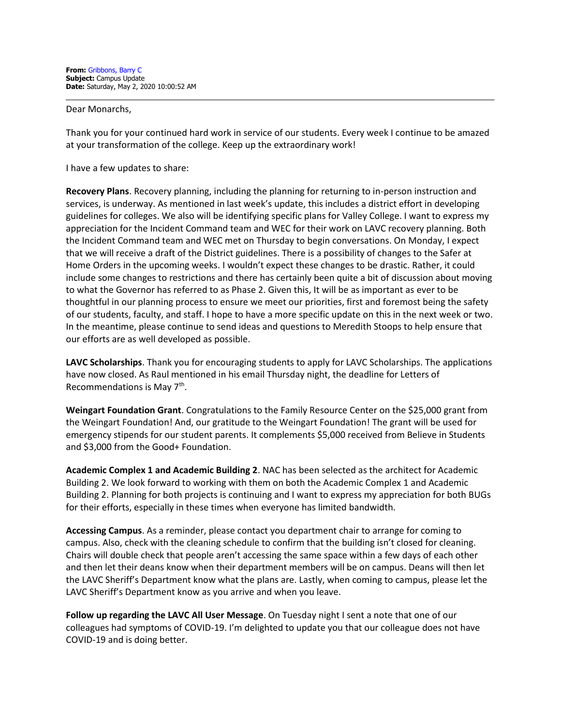Dear Monarchs,

Thank you for your continued hard work in service of our students. Every week I continue to be amazed at your transformation of the college. Keep up the extraordinary work!

I have a few updates to share:

**Recovery Plans**. Recovery planning, including the planning for returning to in-person instruction and services, is underway. As mentioned in last week's update, this includes a district effort in developing guidelines for colleges. We also will be identifying specific plans for Valley College. I want to express my appreciation for the Incident Command team and WEC for their work on LAVC recovery planning. Both the Incident Command team and WEC met on Thursday to begin conversations. On Monday, I expect that we will receive a draft of the District guidelines. There is a possibility of changes to the Safer at Home Orders in the upcoming weeks. I wouldn't expect these changes to be drastic. Rather, it could include some changes to restrictions and there has certainly been quite a bit of discussion about moving to what the Governor has referred to as Phase 2. Given this, It will be as important as ever to be thoughtful in our planning process to ensure we meet our priorities, first and foremost being the safety of our students, faculty, and staff. I hope to have a more specific update on this in the next week or two. In the meantime, please continue to send ideas and questions to Meredith Stoops to help ensure that our efforts are as well developed as possible.

**LAVC Scholarships**. Thank you for encouraging students to apply for LAVC Scholarships. The applications have now closed. As Raul mentioned in his email Thursday night, the deadline for Letters of Recommendations is May 7<sup>th</sup>.

**Weingart Foundation Grant**. Congratulations to the Family Resource Center on the \$25,000 grant from the Weingart Foundation! And, our gratitude to the Weingart Foundation! The grant will be used for emergency stipends for our student parents. It complements \$5,000 received from Believe in Students and \$3,000 from the Good+ Foundation.

**Academic Complex 1 and Academic Building 2**. NAC has been selected as the architect for Academic Building 2. We look forward to working with them on both the Academic Complex 1 and Academic Building 2. Planning for both projects is continuing and I want to express my appreciation for both BUGs for their efforts, especially in these times when everyone has limited bandwidth.

**Accessing Campus**. As a reminder, please contact you department chair to arrange for coming to campus. Also, check with the cleaning schedule to confirm that the building isn't closed for cleaning. Chairs will double check that people aren't accessing the same space within a few days of each other and then let their deans know when their department members will be on campus. Deans will then let the LAVC Sheriff's Department know what the plans are. Lastly, when coming to campus, please let the LAVC Sheriff's Department know as you arrive and when you leave.

**Follow up regarding the LAVC All User Message**. On Tuesday night I sent a note that one of our colleagues had symptoms of COVID-19. I'm delighted to update you that our colleague does not have COVID-19 and is doing better.